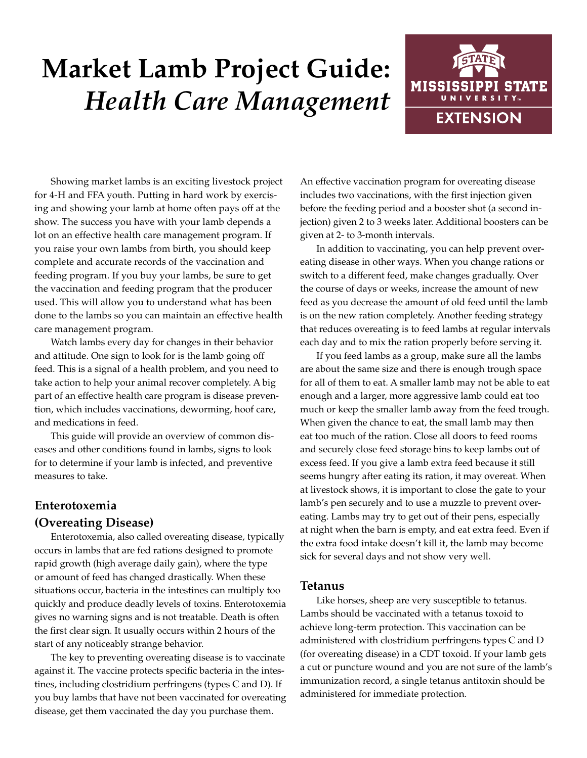# **Market Lamb Project Guide:** *Health Care Management*



Showing market lambs is an exciting livestock project for 4-H and FFA youth. Putting in hard work by exercising and showing your lamb at home often pays off at the show. The success you have with your lamb depends a lot on an effective health care management program. If you raise your own lambs from birth, you should keep complete and accurate records of the vaccination and feeding program. If you buy your lambs, be sure to get the vaccination and feeding program that the producer used. This will allow you to understand what has been done to the lambs so you can maintain an effective health care management program.

Watch lambs every day for changes in their behavior and attitude. One sign to look for is the lamb going off feed. This is a signal of a health problem, and you need to take action to help your animal recover completely. A big part of an effective health care program is disease prevention, which includes vaccinations, deworming, hoof care, and medications in feed.

This guide will provide an overview of common diseases and other conditions found in lambs, signs to look for to determine if your lamb is infected, and preventive measures to take.

# **Enterotoxemia (Overeating Disease)**

Enterotoxemia, also called overeating disease, typically occurs in lambs that are fed rations designed to promote rapid growth (high average daily gain), where the type or amount of feed has changed drastically. When these situations occur, bacteria in the intestines can multiply too quickly and produce deadly levels of toxins. Enterotoxemia gives no warning signs and is not treatable. Death is often the first clear sign. It usually occurs within 2 hours of the start of any noticeably strange behavior.

The key to preventing overeating disease is to vaccinate against it. The vaccine protects specific bacteria in the intestines, including clostridium perfringens (types C and D). If you buy lambs that have not been vaccinated for overeating disease, get them vaccinated the day you purchase them.

An effective vaccination program for overeating disease includes two vaccinations, with the first injection given before the feeding period and a booster shot (a second injection) given 2 to 3 weeks later. Additional boosters can be given at 2- to 3-month intervals.

In addition to vaccinating, you can help prevent overeating disease in other ways. When you change rations or switch to a different feed, make changes gradually. Over the course of days or weeks, increase the amount of new feed as you decrease the amount of old feed until the lamb is on the new ration completely. Another feeding strategy that reduces overeating is to feed lambs at regular intervals each day and to mix the ration properly before serving it.

If you feed lambs as a group, make sure all the lambs are about the same size and there is enough trough space for all of them to eat. A smaller lamb may not be able to eat enough and a larger, more aggressive lamb could eat too much or keep the smaller lamb away from the feed trough. When given the chance to eat, the small lamb may then eat too much of the ration. Close all doors to feed rooms and securely close feed storage bins to keep lambs out of excess feed. If you give a lamb extra feed because it still seems hungry after eating its ration, it may overeat. When at livestock shows, it is important to close the gate to your lamb's pen securely and to use a muzzle to prevent overeating. Lambs may try to get out of their pens, especially at night when the barn is empty, and eat extra feed. Even if the extra food intake doesn't kill it, the lamb may become sick for several days and not show very well.

#### **Tetanus**

Like horses, sheep are very susceptible to tetanus. Lambs should be vaccinated with a tetanus toxoid to achieve long-term protection. This vaccination can be administered with clostridium perfringens types C and D (for overeating disease) in a CDT toxoid. If your lamb gets a cut or puncture wound and you are not sure of the lamb's immunization record, a single tetanus antitoxin should be administered for immediate protection.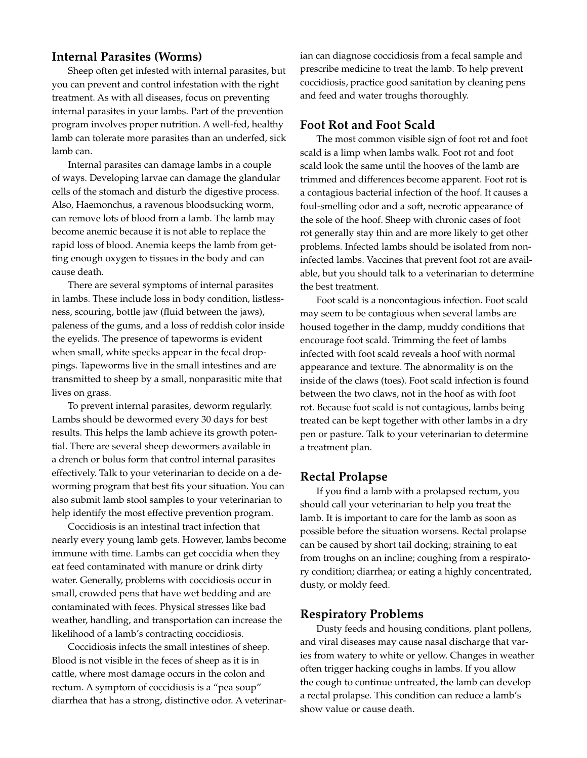#### **Internal Parasites (Worms)**

Sheep often get infested with internal parasites, but you can prevent and control infestation with the right treatment. As with all diseases, focus on preventing internal parasites in your lambs. Part of the prevention program involves proper nutrition. A well-fed, healthy lamb can tolerate more parasites than an underfed, sick lamb can.

Internal parasites can damage lambs in a couple of ways. Developing larvae can damage the glandular cells of the stomach and disturb the digestive process. Also, Haemonchus, a ravenous bloodsucking worm, can remove lots of blood from a lamb. The lamb may become anemic because it is not able to replace the rapid loss of blood. Anemia keeps the lamb from getting enough oxygen to tissues in the body and can cause death.

There are several symptoms of internal parasites in lambs. These include loss in body condition, listlessness, scouring, bottle jaw (fluid between the jaws), paleness of the gums, and a loss of reddish color inside the eyelids. The presence of tapeworms is evident when small, white specks appear in the fecal droppings. Tapeworms live in the small intestines and are transmitted to sheep by a small, nonparasitic mite that lives on grass.

To prevent internal parasites, deworm regularly. Lambs should be dewormed every 30 days for best results. This helps the lamb achieve its growth potential. There are several sheep dewormers available in a drench or bolus form that control internal parasites effectively. Talk to your veterinarian to decide on a deworming program that best fits your situation. You can also submit lamb stool samples to your veterinarian to help identify the most effective prevention program.

Coccidiosis is an intestinal tract infection that nearly every young lamb gets. However, lambs become immune with time. Lambs can get coccidia when they eat feed contaminated with manure or drink dirty water. Generally, problems with coccidiosis occur in small, crowded pens that have wet bedding and are contaminated with feces. Physical stresses like bad weather, handling, and transportation can increase the likelihood of a lamb's contracting coccidiosis.

Coccidiosis infects the small intestines of sheep. Blood is not visible in the feces of sheep as it is in cattle, where most damage occurs in the colon and rectum. A symptom of coccidiosis is a "pea soup" diarrhea that has a strong, distinctive odor. A veterinarian can diagnose coccidiosis from a fecal sample and prescribe medicine to treat the lamb. To help prevent coccidiosis, practice good sanitation by cleaning pens and feed and water troughs thoroughly.

#### **Foot Rot and Foot Scald**

The most common visible sign of foot rot and foot scald is a limp when lambs walk. Foot rot and foot scald look the same until the hooves of the lamb are trimmed and differences become apparent. Foot rot is a contagious bacterial infection of the hoof. It causes a foul-smelling odor and a soft, necrotic appearance of the sole of the hoof. Sheep with chronic cases of foot rot generally stay thin and are more likely to get other problems. Infected lambs should be isolated from noninfected lambs. Vaccines that prevent foot rot are available, but you should talk to a veterinarian to determine the best treatment.

Foot scald is a noncontagious infection. Foot scald may seem to be contagious when several lambs are housed together in the damp, muddy conditions that encourage foot scald. Trimming the feet of lambs infected with foot scald reveals a hoof with normal appearance and texture. The abnormality is on the inside of the claws (toes). Foot scald infection is found between the two claws, not in the hoof as with foot rot. Because foot scald is not contagious, lambs being treated can be kept together with other lambs in a dry pen or pasture. Talk to your veterinarian to determine a treatment plan.

#### **Rectal Prolapse**

If you find a lamb with a prolapsed rectum, you should call your veterinarian to help you treat the lamb. It is important to care for the lamb as soon as possible before the situation worsens. Rectal prolapse can be caused by short tail docking; straining to eat from troughs on an incline; coughing from a respiratory condition; diarrhea; or eating a highly concentrated, dusty, or moldy feed.

#### **Respiratory Problems**

Dusty feeds and housing conditions, plant pollens, and viral diseases may cause nasal discharge that varies from watery to white or yellow. Changes in weather often trigger hacking coughs in lambs. If you allow the cough to continue untreated, the lamb can develop a rectal prolapse. This condition can reduce a lamb's show value or cause death.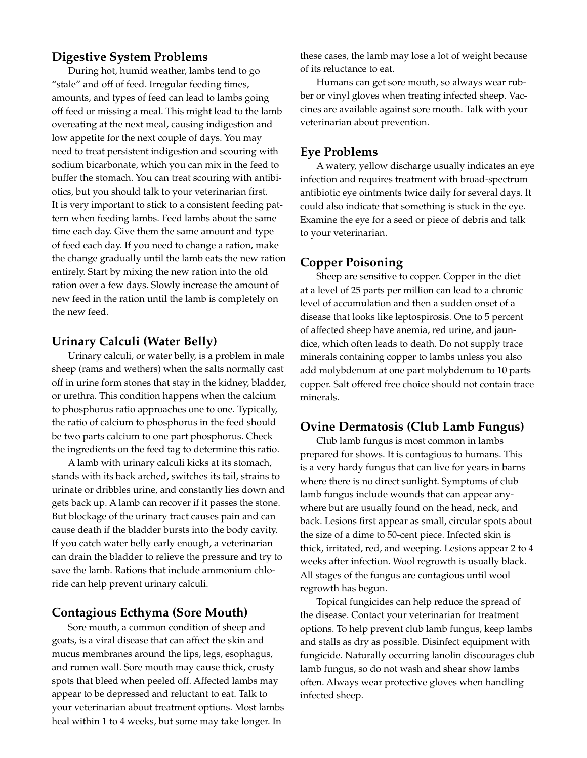### **Digestive System Problems**

During hot, humid weather, lambs tend to go "stale" and off of feed. Irregular feeding times, amounts, and types of feed can lead to lambs going off feed or missing a meal. This might lead to the lamb overeating at the next meal, causing indigestion and low appetite for the next couple of days. You may need to treat persistent indigestion and scouring with sodium bicarbonate, which you can mix in the feed to buffer the stomach. You can treat scouring with antibiotics, but you should talk to your veterinarian first. It is very important to stick to a consistent feeding pattern when feeding lambs. Feed lambs about the same time each day. Give them the same amount and type of feed each day. If you need to change a ration, make the change gradually until the lamb eats the new ration entirely. Start by mixing the new ration into the old ration over a few days. Slowly increase the amount of new feed in the ration until the lamb is completely on the new feed.

## **Urinary Calculi (Water Belly)**

Urinary calculi, or water belly, is a problem in male sheep (rams and wethers) when the salts normally cast off in urine form stones that stay in the kidney, bladder, or urethra. This condition happens when the calcium to phosphorus ratio approaches one to one. Typically, the ratio of calcium to phosphorus in the feed should be two parts calcium to one part phosphorus. Check the ingredients on the feed tag to determine this ratio.

A lamb with urinary calculi kicks at its stomach, stands with its back arched, switches its tail, strains to urinate or dribbles urine, and constantly lies down and gets back up. A lamb can recover if it passes the stone. But blockage of the urinary tract causes pain and can cause death if the bladder bursts into the body cavity. If you catch water belly early enough, a veterinarian can drain the bladder to relieve the pressure and try to save the lamb. Rations that include ammonium chloride can help prevent urinary calculi.

#### **Contagious Ecthyma (Sore Mouth)**

Sore mouth, a common condition of sheep and goats, is a viral disease that can affect the skin and mucus membranes around the lips, legs, esophagus, and rumen wall. Sore mouth may cause thick, crusty spots that bleed when peeled off. Affected lambs may appear to be depressed and reluctant to eat. Talk to your veterinarian about treatment options. Most lambs heal within 1 to 4 weeks, but some may take longer. In

these cases, the lamb may lose a lot of weight because of its reluctance to eat.

Humans can get sore mouth, so always wear rubber or vinyl gloves when treating infected sheep. Vaccines are available against sore mouth. Talk with your veterinarian about prevention.

### **Eye Problems**

A watery, yellow discharge usually indicates an eye infection and requires treatment with broad-spectrum antibiotic eye ointments twice daily for several days. It could also indicate that something is stuck in the eye. Examine the eye for a seed or piece of debris and talk to your veterinarian.

## **Copper Poisoning**

Sheep are sensitive to copper. Copper in the diet at a level of 25 parts per million can lead to a chronic level of accumulation and then a sudden onset of a disease that looks like leptospirosis. One to 5 percent of affected sheep have anemia, red urine, and jaundice, which often leads to death. Do not supply trace minerals containing copper to lambs unless you also add molybdenum at one part molybdenum to 10 parts copper. Salt offered free choice should not contain trace minerals.

#### **Ovine Dermatosis (Club Lamb Fungus)**

Club lamb fungus is most common in lambs prepared for shows. It is contagious to humans. This is a very hardy fungus that can live for years in barns where there is no direct sunlight. Symptoms of club lamb fungus include wounds that can appear anywhere but are usually found on the head, neck, and back. Lesions first appear as small, circular spots about the size of a dime to 50-cent piece. Infected skin is thick, irritated, red, and weeping. Lesions appear 2 to 4 weeks after infection. Wool regrowth is usually black. All stages of the fungus are contagious until wool regrowth has begun.

Topical fungicides can help reduce the spread of the disease. Contact your veterinarian for treatment options. To help prevent club lamb fungus, keep lambs and stalls as dry as possible. Disinfect equipment with fungicide. Naturally occurring lanolin discourages club lamb fungus, so do not wash and shear show lambs often. Always wear protective gloves when handling infected sheep.